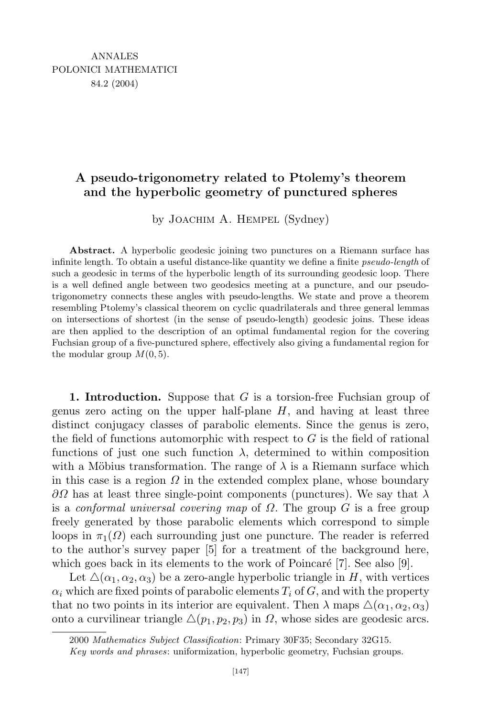## A pseudo-trigonometry related to Ptolemy's theorem and the hyperbolic geometry of punctured spheres

by Joachim A. Hempel (Sydney)

Abstract. A hyperbolic geodesic joining two punctures on a Riemann surface has infinite length. To obtain a useful distance-like quantity we define a finite *pseudo-length* of such a geodesic in terms of the hyperbolic length of its surrounding geodesic loop. There is a well defined angle between two geodesics meeting at a puncture, and our pseudotrigonometry connects these angles with pseudo-lengths. We state and prove a theorem resembling Ptolemy's classical theorem on cyclic quadrilaterals and three general lemmas on intersections of shortest (in the sense of pseudo-length) geodesic joins. These ideas are then applied to the description of an optimal fundamental region for the covering Fuchsian group of a five-punctured sphere, effectively also giving a fundamental region for the modular group  $M(0, 5)$ .

**1. Introduction.** Suppose that  $G$  is a torsion-free Fuchsian group of genus zero acting on the upper half-plane  $H$ , and having at least three distinct conjugacy classes of parabolic elements. Since the genus is zero, the field of functions automorphic with respect to  $G$  is the field of rational functions of just one such function  $\lambda$ , determined to within composition with a Möbius transformation. The range of  $\lambda$  is a Riemann surface which in this case is a region  $\Omega$  in the extended complex plane, whose boundary  $\partial\Omega$  has at least three single-point components (punctures). We say that  $\lambda$ is a conformal universal covering map of  $\Omega$ . The group G is a free group freely generated by those parabolic elements which correspond to simple loops in  $\pi_1(\Omega)$  each surrounding just one puncture. The reader is referred to the author's survey paper [5] for a treatment of the background here, which goes back in its elements to the work of Poincaré  $[7]$ . See also  $[9]$ .

Let  $\Delta(\alpha_1, \alpha_2, \alpha_3)$  be a zero-angle hyperbolic triangle in H, with vertices  $\alpha_i$  which are fixed points of parabolic elements  $T_i$  of G, and with the property that no two points in its interior are equivalent. Then  $\lambda$  maps  $\Delta(\alpha_1, \alpha_2, \alpha_3)$ onto a curvilinear triangle  $\Delta(p_1, p_2, p_3)$  in  $\Omega$ , whose sides are geodesic arcs.

<sup>2000</sup> Mathematics Subject Classification: Primary 30F35; Secondary 32G15.

Key words and phrases: uniformization, hyperbolic geometry, Fuchsian groups.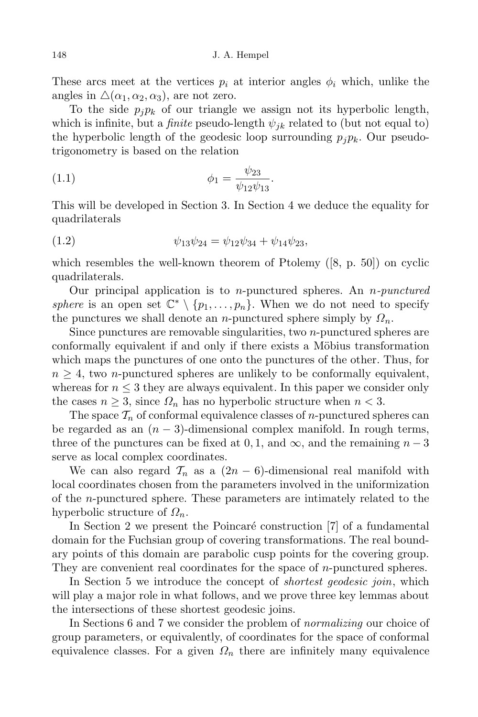These arcs meet at the vertices  $p_i$  at interior angles  $\phi_i$  which, unlike the angles in  $\Delta(\alpha_1, \alpha_2, \alpha_3)$ , are not zero.

To the side  $p_i p_k$  of our triangle we assign not its hyperbolic length, which is infinite, but a *finite* pseudo-length  $\psi_{ik}$  related to (but not equal to) the hyperbolic length of the geodesic loop surrounding  $p_i p_k$ . Our pseudotrigonometry is based on the relation

(1.1) 
$$
\phi_1 = \frac{\psi_{23}}{\psi_{12}\psi_{13}}.
$$

This will be developed in Section 3. In Section 4 we deduce the equality for quadrilaterals

(1.2) 
$$
\psi_{13}\psi_{24} = \psi_{12}\psi_{34} + \psi_{14}\psi_{23},
$$

which resembles the well-known theorem of Ptolemy  $([8, p. 50])$  on cyclic quadrilaterals.

Our principal application is to *n*-punctured spheres. An *n*-punctured sphere is an open set  $\mathbb{C}^* \setminus \{p_1, \ldots, p_n\}$ . When we do not need to specify the punctures we shall denote an *n*-punctured sphere simply by  $\Omega_n$ .

Since punctures are removable singularities, two n-punctured spheres are conformally equivalent if and only if there exists a Möbius transformation which maps the punctures of one onto the punctures of the other. Thus, for  $n \geq 4$ , two *n*-punctured spheres are unlikely to be conformally equivalent, whereas for  $n \leq 3$  they are always equivalent. In this paper we consider only the cases  $n \geq 3$ , since  $\Omega_n$  has no hyperbolic structure when  $n < 3$ .

The space  $\mathcal{T}_n$  of conformal equivalence classes of *n*-punctured spheres can be regarded as an  $(n-3)$ -dimensional complex manifold. In rough terms, three of the punctures can be fixed at 0, 1, and  $\infty$ , and the remaining  $n-3$ serve as local complex coordinates.

We can also regard  $\mathcal{T}_n$  as a  $(2n-6)$ -dimensional real manifold with local coordinates chosen from the parameters involved in the uniformization of the n-punctured sphere. These parameters are intimately related to the hyperbolic structure of  $\Omega_n$ .

In Section 2 we present the Poincaré construction  $[7]$  of a fundamental domain for the Fuchsian group of covering transformations. The real boundary points of this domain are parabolic cusp points for the covering group. They are convenient real coordinates for the space of n-punctured spheres.

In Section 5 we introduce the concept of *shortest geodesic join*, which will play a major role in what follows, and we prove three key lemmas about the intersections of these shortest geodesic joins.

In Sections 6 and 7 we consider the problem of *normalizing* our choice of group parameters, or equivalently, of coordinates for the space of conformal equivalence classes. For a given  $\Omega_n$  there are infinitely many equivalence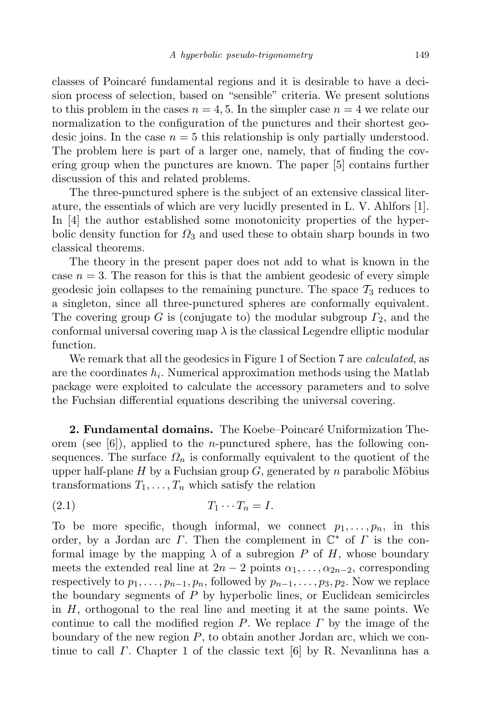classes of Poincaré fundamental regions and it is desirable to have a decision process of selection, based on "sensible" criteria. We present solutions to this problem in the cases  $n = 4, 5$ . In the simpler case  $n = 4$  we relate our normalization to the configuration of the punctures and their shortest geodesic joins. In the case  $n = 5$  this relationship is only partially understood. The problem here is part of a larger one, namely, that of finding the covering group when the punctures are known. The paper [5] contains further discussion of this and related problems.

The three-punctured sphere is the subject of an extensive classical literature, the essentials of which are very lucidly presented in L. V. Ahlfors [1]. In [4] the author established some monotonicity properties of the hyperbolic density function for  $\Omega_3$  and used these to obtain sharp bounds in two classical theorems.

The theory in the present paper does not add to what is known in the case  $n = 3$ . The reason for this is that the ambient geodesic of every simple geodesic join collapses to the remaining puncture. The space  $\mathcal{T}_3$  reduces to a singleton, since all three-punctured spheres are conformally equivalent. The covering group G is (conjugate to) the modular subgroup  $\Gamma_2$ , and the conformal universal covering map  $\lambda$  is the classical Legendre elliptic modular function.

We remark that all the geodesics in Figure 1 of Section 7 are *calculated*, as are the coordinates  $h_i$ . Numerical approximation methods using the Matlab package were exploited to calculate the accessory parameters and to solve the Fuchsian differential equations describing the universal covering.

2. Fundamental domains. The Koebe–Poincaré Uniformization Theorem (see  $[6]$ ), applied to the *n*-punctured sphere, has the following consequences. The surface  $\Omega_n$  is conformally equivalent to the quotient of the upper half-plane H by a Fuchsian group  $G$ , generated by n parabolic Möbius transformations  $T_1, \ldots, T_n$  which satisfy the relation

$$
(2.1) \t\t T_1 \cdots T_n = I.
$$

To be more specific, though informal, we connect  $p_1, \ldots, p_n$ , in this order, by a Jordan arc  $\Gamma$ . Then the complement in  $\mathbb{C}^*$  of  $\Gamma$  is the conformal image by the mapping  $\lambda$  of a subregion P of H, whose boundary meets the extended real line at  $2n-2$  points  $\alpha_1, \ldots, \alpha_{2n-2}$ , corresponding respectively to  $p_1, \ldots, p_{n-1}, p_n$ , followed by  $p_{n-1}, \ldots, p_3, p_2$ . Now we replace the boundary segments of  $P$  by hyperbolic lines, or Euclidean semicircles in H, orthogonal to the real line and meeting it at the same points. We continue to call the modified region P. We replace  $\Gamma$  by the image of the boundary of the new region  $P$ , to obtain another Jordan arc, which we continue to call  $\Gamma$ . Chapter 1 of the classic text [6] by R. Nevanlinna has a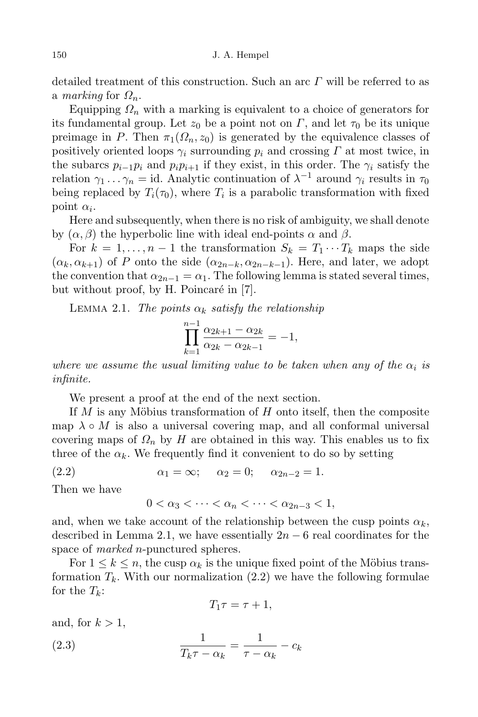detailed treatment of this construction. Such an arc Γ will be referred to as a *marking* for  $\Omega_n$ .

Equipping  $\Omega_n$  with a marking is equivalent to a choice of generators for its fundamental group. Let  $z_0$  be a point not on  $\Gamma$ , and let  $\tau_0$  be its unique preimage in P. Then  $\pi_1(\Omega_n, z_0)$  is generated by the equivalence classes of positively oriented loops  $\gamma_i$  surrounding  $p_i$  and crossing  $\Gamma$  at most twice, in the subarcs  $p_{i-1}p_i$  and  $p_i p_{i+1}$  if they exist, in this order. The  $\gamma_i$  satisfy the relation  $\gamma_1 \dots \gamma_n = id$ . Analytic continuation of  $\lambda^{-1}$  around  $\gamma_i$  results in  $\tau_0$ being replaced by  $T_i(\tau_0)$ , where  $T_i$  is a parabolic transformation with fixed point  $\alpha_i$ .

Here and subsequently, when there is no risk of ambiguity, we shall denote by  $(\alpha, \beta)$  the hyperbolic line with ideal end-points  $\alpha$  and  $\beta$ .

For  $k = 1, \ldots, n-1$  the transformation  $S_k = T_1 \cdots T_k$  maps the side  $(\alpha_k, \alpha_{k+1})$  of P onto the side  $(\alpha_{2n-k}, \alpha_{2n-k-1})$ . Here, and later, we adopt the convention that  $\alpha_{2n-1} = \alpha_1$ . The following lemma is stated several times, but without proof, by H. Poincaré in  $[7]$ .

LEMMA 2.1. The points  $\alpha_k$  satisfy the relationship

$$
\prod_{k=1}^{n-1} \frac{\alpha_{2k+1} - \alpha_{2k}}{\alpha_{2k} - \alpha_{2k-1}} = -1,
$$

where we assume the usual limiting value to be taken when any of the  $\alpha_i$  is infinite.

We present a proof at the end of the next section.

If  $M$  is any Möbius transformation of  $H$  onto itself, then the composite map  $\lambda \circ M$  is also a universal covering map, and all conformal universal covering maps of  $\Omega_n$  by H are obtained in this way. This enables us to fix three of the  $\alpha_k$ . We frequently find it convenient to do so by setting

(2.2)  $\alpha_1 = \infty; \quad \alpha_2 = 0; \quad \alpha_{2n-2} = 1.$ 

Then we have

 $0 < \alpha_3 < \cdots < \alpha_n < \cdots < \alpha_{2n-3} < 1$ 

and, when we take account of the relationship between the cusp points  $\alpha_k$ , described in Lemma 2.1, we have essentially  $2n-6$  real coordinates for the space of *marked n*-punctured spheres.

For  $1 \leq k \leq n$ , the cusp  $\alpha_k$  is the unique fixed point of the Möbius transformation  $T_k$ . With our normalization  $(2.2)$  we have the following formulae for the  $T_k$ :

$$
T_1\tau=\tau+1,
$$

and, for  $k > 1$ ,

(2.3) 
$$
\frac{1}{T_k \tau - \alpha_k} = \frac{1}{\tau - \alpha_k} - c_k
$$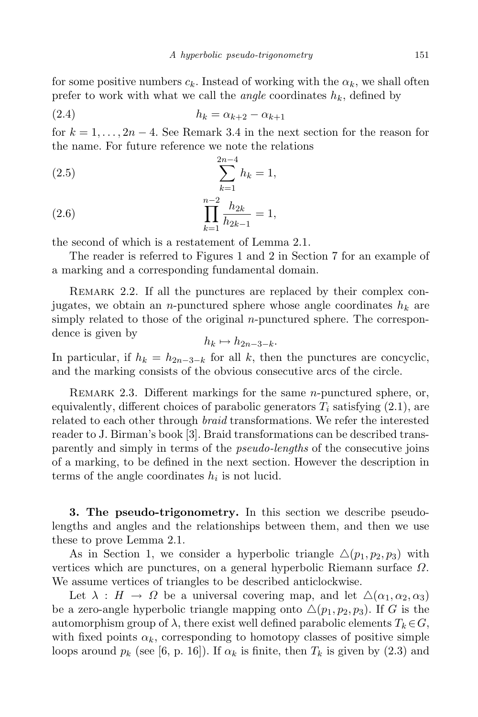for some positive numbers  $c_k$ . Instead of working with the  $\alpha_k$ , we shall often prefer to work with what we call the *angle* coordinates  $h_k$ , defined by

$$
(2.4) \qquad \qquad h_k = \alpha_{k+2} - \alpha_{k+1}
$$

for  $k = 1, \ldots, 2n - 4$ . See Remark 3.4 in the next section for the reason for the name. For future reference we note the relations

(2.5) 
$$
\sum_{k=1}^{2n-4} h_k = 1,
$$

$$
\prod_{k=1}^{n-2} \frac{h_{2k}}{h_{2k-1}} = 1,
$$

the second of which is a restatement of Lemma 2.1.

The reader is referred to Figures 1 and 2 in Section 7 for an example of a marking and a corresponding fundamental domain.

REMARK 2.2. If all the punctures are replaced by their complex conjugates, we obtain an *n*-punctured sphere whose angle coordinates  $h_k$  are simply related to those of the original n-punctured sphere. The correspondence is given by

$$
h_k \mapsto h_{2n-3-k}.
$$

In particular, if  $h_k = h_{2n-3-k}$  for all k, then the punctures are concyclic, and the marking consists of the obvious consecutive arcs of the circle.

REMARK 2.3. Different markings for the same  $n$ -punctured sphere, or, equivalently, different choices of parabolic generators  $T_i$  satisfying  $(2.1)$ , are related to each other through *braid* transformations. We refer the interested reader to J. Birman's book [3]. Braid transformations can be described transparently and simply in terms of the pseudo-lengths of the consecutive joins of a marking, to be defined in the next section. However the description in terms of the angle coordinates  $h_i$  is not lucid.

3. The pseudo-trigonometry. In this section we describe pseudolengths and angles and the relationships between them, and then we use these to prove Lemma 2.1.

As in Section 1, we consider a hyperbolic triangle  $\Delta(p_1, p_2, p_3)$  with vertices which are punctures, on a general hyperbolic Riemann surface Ω. We assume vertices of triangles to be described anticlockwise.

Let  $\lambda : H \to \Omega$  be a universal covering map, and let  $\Delta(\alpha_1, \alpha_2, \alpha_3)$ be a zero-angle hyperbolic triangle mapping onto  $\Delta(p_1, p_2, p_3)$ . If G is the automorphism group of  $\lambda$ , there exist well defined parabolic elements  $T_k \in G$ , with fixed points  $\alpha_k$ , corresponding to homotopy classes of positive simple loops around  $p_k$  (see [6, p. 16]). If  $\alpha_k$  is finite, then  $T_k$  is given by (2.3) and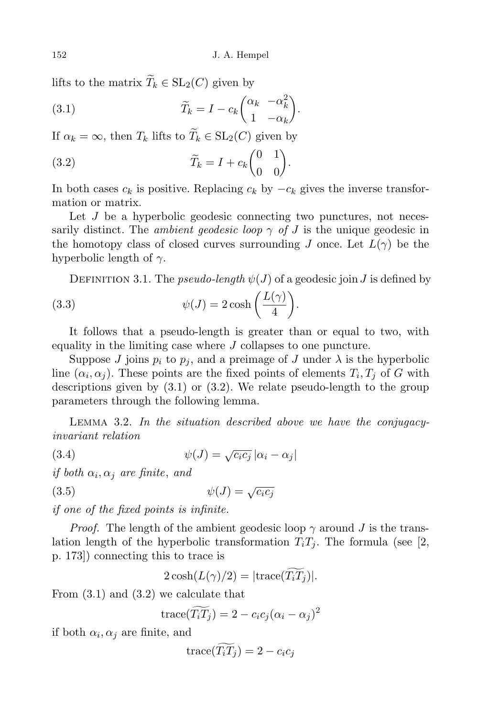lifts to the matrix  $T_k \in SL_2(C)$  given by

(3.1) 
$$
\widetilde{T}_k = I - c_k \begin{pmatrix} \alpha_k & -\alpha_k^2 \\ 1 & -\alpha_k \end{pmatrix}.
$$

If  $\alpha_k = \infty$ , then  $T_k$  lifts to  $T_k \in SL_2(C)$  given by

(3.2) 
$$
\widetilde{T}_k = I + c_k \begin{pmatrix} 0 & 1 \\ 0 & 0 \end{pmatrix}.
$$

In both cases  $c_k$  is positive. Replacing  $c_k$  by  $-c_k$  gives the inverse transformation or matrix.

Let  $J$  be a hyperbolic geodesic connecting two punctures, not necessarily distinct. The *ambient geodesic loop*  $\gamma$  of J is the unique geodesic in the homotopy class of closed curves surrounding J once. Let  $L(\gamma)$  be the hyperbolic length of  $\gamma$ .

DEFINITION 3.1. The *pseudo-length*  $\psi(J)$  of a geodesic join J is defined by

(3.3) 
$$
\psi(J) = 2 \cosh\left(\frac{L(\gamma)}{4}\right).
$$

It follows that a pseudo-length is greater than or equal to two, with equality in the limiting case where J collapses to one puncture.

Suppose J joins  $p_i$  to  $p_j$ , and a preimage of J under  $\lambda$  is the hyperbolic line  $(\alpha_i, \alpha_j)$ . These points are the fixed points of elements  $T_i, T_j$  of G with descriptions given by (3.1) or (3.2). We relate pseudo-length to the group parameters through the following lemma.

Lemma 3.2. In the situation described above we have the conjugacyinvariant relation

(3.4) 
$$
\psi(J) = \sqrt{c_i c_j} |\alpha_i - \alpha_j|
$$

*if both*  $\alpha_i, \alpha_j$  are finite, and

$$
(3.5) \t\t \psi(J) = \sqrt{c_i c_j}
$$

if one of the fixed points is infinite.

*Proof.* The length of the ambient geodesic loop  $\gamma$  around J is the translation length of the hyperbolic transformation  $T_iT_j$ . The formula (see [2, p. 173]) connecting this to trace is

$$
2\cosh(L(\gamma)/2) = |\text{trace}(T_i T_j)|.
$$

From (3.1) and (3.2) we calculate that

trace
$$
(\tilde{T}_i \tilde{T}_j)
$$
 = 2 -  $c_i c_j (\alpha_i - \alpha_j)^2$ 

if both  $\alpha_i, \alpha_j$  are finite, and

$$
\operatorname{trace}(\overline{T_i}\overline{T_j})=2-c_ic_j
$$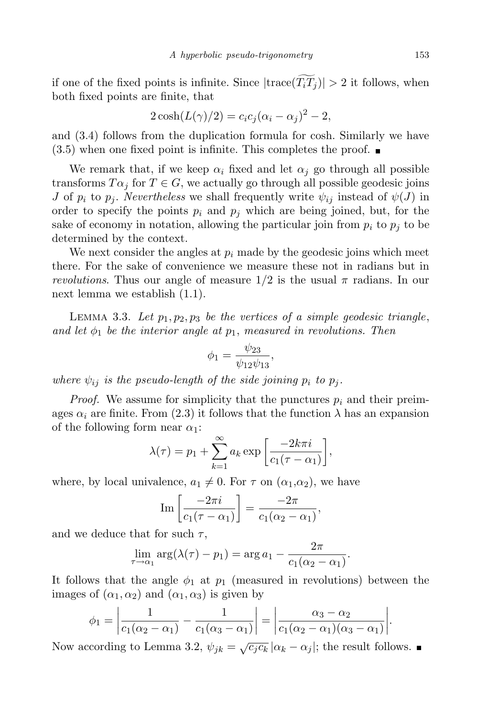if one of the fixed points is infinite. Since  $|\text{trace}(\widetilde{T_iT_j})| > 2$  it follows, when both fixed points are finite, that

$$
2\cosh(L(\gamma)/2) = c_i c_j (\alpha_i - \alpha_j)^2 - 2,
$$

and (3.4) follows from the duplication formula for cosh. Similarly we have  $(3.5)$  when one fixed point is infinite. This completes the proof.

We remark that, if we keep  $\alpha_i$  fixed and let  $\alpha_i$  go through all possible transforms  $T\alpha_j$  for  $T \in G$ , we actually go through all possible geodesic joins J of  $p_i$  to  $p_j$ . Nevertheless we shall frequently write  $\psi_{ij}$  instead of  $\psi(J)$  in order to specify the points  $p_i$  and  $p_j$  which are being joined, but, for the sake of economy in notation, allowing the particular join from  $p_i$  to  $p_j$  to be determined by the context.

We next consider the angles at  $p_i$  made by the geodesic joins which meet there. For the sake of convenience we measure these not in radians but in *revolutions*. Thus our angle of measure  $1/2$  is the usual  $\pi$  radians. In our next lemma we establish (1.1).

LEMMA 3.3. Let  $p_1, p_2, p_3$  be the vertices of a simple geodesic triangle, and let  $\phi_1$  be the interior angle at  $p_1$ , measured in revolutions. Then

$$
\phi_1 = \frac{\psi_{23}}{\psi_{12}\psi_{13}},
$$

where  $\psi_{ij}$  is the pseudo-length of the side joining  $p_i$  to  $p_j$ .

*Proof.* We assume for simplicity that the punctures  $p_i$  and their preimages  $\alpha_i$  are finite. From (2.3) it follows that the function  $\lambda$  has an expansion of the following form near  $\alpha_1$ :

$$
\lambda(\tau) = p_1 + \sum_{k=1}^{\infty} a_k \exp\left[\frac{-2k\pi i}{c_1(\tau - \alpha_1)}\right],
$$

where, by local univalence,  $a_1 \neq 0$ . For  $\tau$  on  $(\alpha_1,\alpha_2)$ , we have

Im 
$$
\left[\frac{-2\pi i}{c_1(\tau-\alpha_1)}\right] = \frac{-2\pi}{c_1(\alpha_2-\alpha_1)},
$$

and we deduce that for such  $\tau$ ,

$$
\lim_{\tau \to \alpha_1} \arg(\lambda(\tau) - p_1) = \arg a_1 - \frac{2\pi}{c_1(\alpha_2 - \alpha_1)}.
$$

It follows that the angle  $\phi_1$  at  $p_1$  (measured in revolutions) between the images of  $(\alpha_1, \alpha_2)$  and  $(\alpha_1, \alpha_3)$  is given by

$$
\phi_1 = \left| \frac{1}{c_1(\alpha_2 - \alpha_1)} - \frac{1}{c_1(\alpha_3 - \alpha_1)} \right| = \left| \frac{\alpha_3 - \alpha_2}{c_1(\alpha_2 - \alpha_1)(\alpha_3 - \alpha_1)} \right|.
$$

Now according to Lemma 3.2,  $\psi_{jk} = \sqrt{c_j c_k} |\alpha_k - \alpha_j|$ ; the result follows.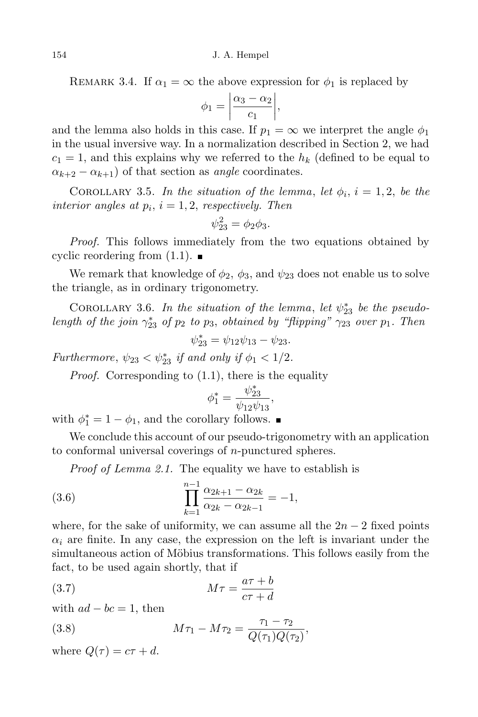REMARK 3.4. If  $\alpha_1 = \infty$  the above expression for  $\phi_1$  is replaced by

$$
\phi_1 = \left| \frac{\alpha_3 - \alpha_2}{c_1} \right|,
$$

and the lemma also holds in this case. If  $p_1 = \infty$  we interpret the angle  $\phi_1$ in the usual inversive way. In a normalization described in Section 2, we had  $c_1 = 1$ , and this explains why we referred to the  $h_k$  (defined to be equal to  $\alpha_{k+2} - \alpha_{k+1}$  of that section as *angle* coordinates.

COROLLARY 3.5. In the situation of the lemma, let  $\phi_i$ ,  $i = 1, 2$ , be the interior angles at  $p_i$ ,  $i = 1, 2$ , respectively. Then

$$
\psi_{23}^2 = \phi_2 \phi_3.
$$

Proof. This follows immediately from the two equations obtained by cyclic reordering from  $(1.1)$ .

We remark that knowledge of  $\phi_2$ ,  $\phi_3$ , and  $\psi_{23}$  does not enable us to solve the triangle, as in ordinary trigonometry.

COROLLARY 3.6. In the situation of the lemma, let  $\psi_{23}^*$  be the pseudolength of the join  $\gamma_{23}^*$  of  $p_2$  to  $p_3$ , obtained by "flipping"  $\gamma_{23}$  over  $p_1$ . Then

$$
\psi_{23}^* = \psi_{12}\psi_{13} - \psi_{23}.
$$

Furthermore,  $\psi_{23} < \psi_{23}^*$  if and only if  $\phi_1 < 1/2$ .

*Proof.* Corresponding to  $(1.1)$ , there is the equality

$$
\phi_1^* = \frac{\psi_{23}^*}{\psi_{12}\psi_{13}},
$$

with  $\phi_1^* = 1 - \phi_1$ , and the corollary follows.

We conclude this account of our pseudo-trigonometry with an application to conformal universal coverings of n-punctured spheres.

Proof of Lemma 2.1. The equality we have to establish is

(3.6) 
$$
\prod_{k=1}^{n-1} \frac{\alpha_{2k+1} - \alpha_{2k}}{\alpha_{2k} - \alpha_{2k-1}} = -1,
$$

where, for the sake of uniformity, we can assume all the  $2n-2$  fixed points  $\alpha_i$  are finite. In any case, the expression on the left is invariant under the simultaneous action of Möbius transformations. This follows easily from the fact, to be used again shortly, that if

$$
(3.7) \t\t\t M\tau = \frac{a\tau + b}{c\tau + d}
$$

with  $ad - bc = 1$ , then

(3.8) 
$$
M\tau_1 - M\tau_2 = \frac{\tau_1 - \tau_2}{Q(\tau_1)Q(\tau_2)},
$$

where  $Q(\tau) = c\tau + d$ .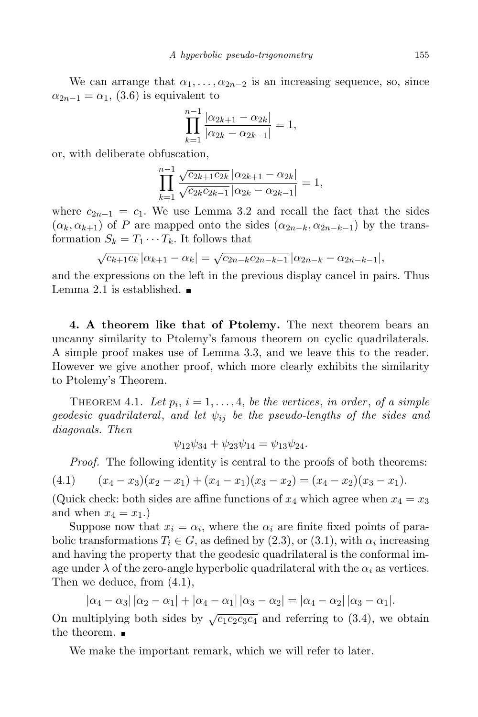We can arrange that  $\alpha_1, \ldots, \alpha_{2n-2}$  is an increasing sequence, so, since  $\alpha_{2n-1} = \alpha_1$ , (3.6) is equivalent to

$$
\prod_{k=1}^{n-1} \frac{|\alpha_{2k+1} - \alpha_{2k}|}{|\alpha_{2k} - \alpha_{2k-1}|} = 1,
$$

or, with deliberate obfuscation,

$$
\prod_{k=1}^{n-1} \frac{\sqrt{c_{2k+1}c_{2k}} \left| \alpha_{2k+1} - \alpha_{2k} \right|}{\sqrt{c_{2k}c_{2k-1}} \left| \alpha_{2k} - \alpha_{2k-1} \right|} = 1,
$$

where  $c_{2n-1} = c_1$ . We use Lemma 3.2 and recall the fact that the sides  $(\alpha_k, \alpha_{k+1})$  of P are mapped onto the sides  $(\alpha_{2n-k}, \alpha_{2n-k-1})$  by the transformation  $S_k = T_1 \cdots T_k$ . It follows that

$$
\sqrt{c_{k+1}c_k} |\alpha_{k+1} - \alpha_k| = \sqrt{c_{2n-k}c_{2n-k-1}} |\alpha_{2n-k} - \alpha_{2n-k-1}|,
$$

and the expressions on the left in the previous display cancel in pairs. Thus Lemma 2.1 is established.  $\blacksquare$ 

4. A theorem like that of Ptolemy. The next theorem bears an uncanny similarity to Ptolemy's famous theorem on cyclic quadrilaterals. A simple proof makes use of Lemma 3.3, and we leave this to the reader. However we give another proof, which more clearly exhibits the similarity to Ptolemy's Theorem.

THEOREM 4.1. Let  $p_i$ ,  $i = 1, \ldots, 4$ , be the vertices, in order, of a simple geodesic quadrilateral, and let  $\psi_{ij}$  be the pseudo-lengths of the sides and diagonals. Then

$$
\psi_{12}\psi_{34} + \psi_{23}\psi_{14} = \psi_{13}\psi_{24}.
$$

Proof. The following identity is central to the proofs of both theorems:

(4.1)  $(x_4 - x_3)(x_2 - x_1) + (x_4 - x_1)(x_3 - x_2) = (x_4 - x_2)(x_3 - x_1).$ 

(Quick check: both sides are affine functions of  $x_4$  which agree when  $x_4 = x_3$ ) and when  $x_4 = x_1$ .

Suppose now that  $x_i = \alpha_i$ , where the  $\alpha_i$  are finite fixed points of parabolic transformations  $T_i \in G$ , as defined by  $(2.3)$ , or  $(3.1)$ , with  $\alpha_i$  increasing and having the property that the geodesic quadrilateral is the conformal image under  $\lambda$  of the zero-angle hyperbolic quadrilateral with the  $\alpha_i$  as vertices. Then we deduce, from (4.1),

 $|\alpha_4 - \alpha_3| |\alpha_2 - \alpha_1| + |\alpha_4 - \alpha_1| |\alpha_3 - \alpha_2| = |\alpha_4 - \alpha_2| |\alpha_3 - \alpha_1|.$ 

On multiplying both sides by  $\sqrt{c_1c_2c_3c_4}$  and referring to (3.4), we obtain the theorem.  $\blacksquare$ 

We make the important remark, which we will refer to later.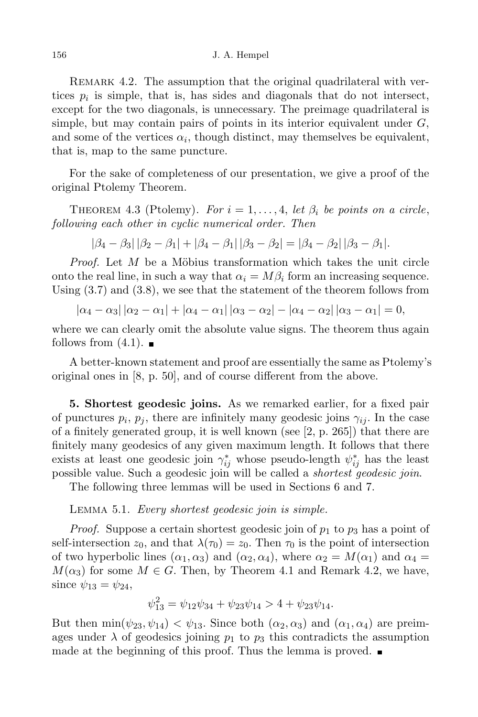## 156 J. A. Hempel

REMARK 4.2. The assumption that the original quadrilateral with vertices  $p_i$  is simple, that is, has sides and diagonals that do not intersect, except for the two diagonals, is unnecessary. The preimage quadrilateral is simple, but may contain pairs of points in its interior equivalent under  $G$ , and some of the vertices  $\alpha_i$ , though distinct, may themselves be equivalent, that is, map to the same puncture.

For the sake of completeness of our presentation, we give a proof of the original Ptolemy Theorem.

THEOREM 4.3 (Ptolemy). For  $i = 1, ..., 4$ , let  $\beta_i$  be points on a circle, following each other in cyclic numerical order. Then

 $|\beta_4 - \beta_3| |\beta_2 - \beta_1| + |\beta_4 - \beta_1| |\beta_3 - \beta_2| = |\beta_4 - \beta_2| |\beta_3 - \beta_1|.$ 

*Proof.* Let  $M$  be a Möbius transformation which takes the unit circle onto the real line, in such a way that  $\alpha_i = M\beta_i$  form an increasing sequence. Using  $(3.7)$  and  $(3.8)$ , we see that the statement of the theorem follows from

 $|\alpha_4 - \alpha_3| |\alpha_2 - \alpha_1| + |\alpha_4 - \alpha_1| |\alpha_3 - \alpha_2| - |\alpha_4 - \alpha_2| |\alpha_3 - \alpha_1| = 0,$ 

where we can clearly omit the absolute value signs. The theorem thus again follows from  $(4.1)$ .

A better-known statement and proof are essentially the same as Ptolemy's original ones in [8, p. 50], and of course different from the above.

5. Shortest geodesic joins. As we remarked earlier, for a fixed pair of punctures  $p_i$ ,  $p_j$ , there are infinitely many geodesic joins  $\gamma_{ij}$ . In the case of a finitely generated group, it is well known (see  $[2, p. 265]$ ) that there are finitely many geodesics of any given maximum length. It follows that there exists at least one geodesic join  $\gamma_{ij}^*$  whose pseudo-length  $\psi_{ij}^*$  has the least possible value. Such a geodesic join will be called a shortest geodesic join.

The following three lemmas will be used in Sections 6 and 7.

Lemma 5.1. Every shortest geodesic join is simple.

*Proof.* Suppose a certain shortest geodesic join of  $p_1$  to  $p_3$  has a point of self-intersection  $z_0$ , and that  $\lambda(\tau_0) = z_0$ . Then  $\tau_0$  is the point of intersection of two hyperbolic lines  $(\alpha_1, \alpha_3)$  and  $(\alpha_2, \alpha_4)$ , where  $\alpha_2 = M(\alpha_1)$  and  $\alpha_4 =$  $M(\alpha_3)$  for some  $M \in G$ . Then, by Theorem 4.1 and Remark 4.2, we have, since  $\psi_{13} = \psi_{24}$ ,

$$
\psi_{13}^2 = \psi_{12}\psi_{34} + \psi_{23}\psi_{14} > 4 + \psi_{23}\psi_{14}.
$$

But then  $\min(\psi_{23}, \psi_{14}) < \psi_{13}$ . Since both  $(\alpha_2, \alpha_3)$  and  $(\alpha_1, \alpha_4)$  are preimages under  $\lambda$  of geodesics joining  $p_1$  to  $p_3$  this contradicts the assumption made at the beginning of this proof. Thus the lemma is proved.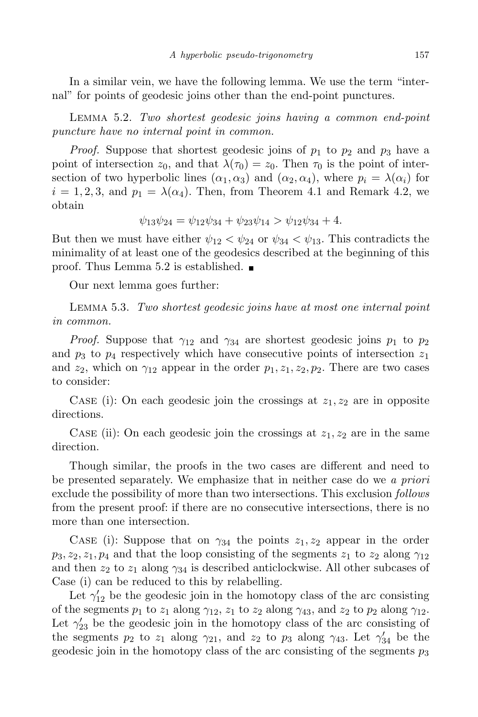In a similar vein, we have the following lemma. We use the term "internal" for points of geodesic joins other than the end-point punctures.

Lemma 5.2. Two shortest geodesic joins having a common end-point puncture have no internal point in common.

*Proof.* Suppose that shortest geodesic joins of  $p_1$  to  $p_2$  and  $p_3$  have a point of intersection  $z_0$ , and that  $\lambda(\tau_0) = z_0$ . Then  $\tau_0$  is the point of intersection of two hyperbolic lines  $(\alpha_1, \alpha_3)$  and  $(\alpha_2, \alpha_4)$ , where  $p_i = \lambda(\alpha_i)$  for  $i = 1, 2, 3$ , and  $p_1 = \lambda(\alpha_4)$ . Then, from Theorem 4.1 and Remark 4.2, we obtain

$$
\psi_{13}\psi_{24} = \psi_{12}\psi_{34} + \psi_{23}\psi_{14} > \psi_{12}\psi_{34} + 4.
$$

But then we must have either  $\psi_{12} < \psi_{24}$  or  $\psi_{34} < \psi_{13}$ . This contradicts the minimality of at least one of the geodesics described at the beginning of this proof. Thus Lemma 5.2 is established.

Our next lemma goes further:

Lemma 5.3. Two shortest geodesic joins have at most one internal point in common.

*Proof.* Suppose that  $\gamma_{12}$  and  $\gamma_{34}$  are shortest geodesic joins  $p_1$  to  $p_2$ and  $p_3$  to  $p_4$  respectively which have consecutive points of intersection  $z_1$ and  $z_2$ , which on  $\gamma_{12}$  appear in the order  $p_1, z_1, z_2, p_2$ . There are two cases to consider:

CASE (i): On each geodesic join the crossings at  $z_1, z_2$  are in opposite directions.

CASE (ii): On each geodesic join the crossings at  $z_1, z_2$  are in the same direction.

Though similar, the proofs in the two cases are different and need to be presented separately. We emphasize that in neither case do we a priori exclude the possibility of more than two intersections. This exclusion *follows* from the present proof: if there are no consecutive intersections, there is no more than one intersection.

CASE (i): Suppose that on  $\gamma_{34}$  the points  $z_1, z_2$  appear in the order  $p_3, z_2, z_1, p_4$  and that the loop consisting of the segments  $z_1$  to  $z_2$  along  $\gamma_{12}$ and then  $z_2$  to  $z_1$  along  $\gamma_{34}$  is described anticlockwise. All other subcases of Case (i) can be reduced to this by relabelling.

Let  $\gamma'_{12}$  be the geodesic join in the homotopy class of the arc consisting of the segments  $p_1$  to  $z_1$  along  $\gamma_{12}$ ,  $z_1$  to  $z_2$  along  $\gamma_{43}$ , and  $z_2$  to  $p_2$  along  $\gamma_{12}$ . Let  $\gamma'_{23}$  be the geodesic join in the homotopy class of the arc consisting of the segments  $p_2$  to  $z_1$  along  $\gamma_{21}$ , and  $z_2$  to  $p_3$  along  $\gamma_{43}$ . Let  $\gamma'_{34}$  be the geodesic join in the homotopy class of the arc consisting of the segments  $p_3$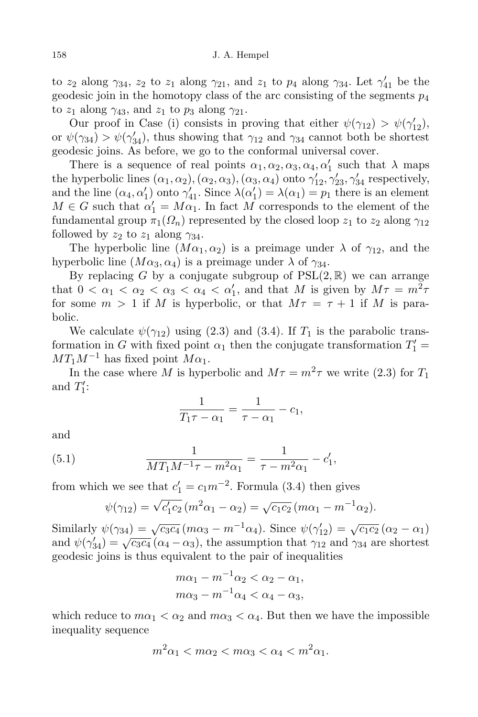to  $z_2$  along  $\gamma_{34}$ ,  $z_2$  to  $z_1$  along  $\gamma_{21}$ , and  $z_1$  to  $p_4$  along  $\gamma_{34}$ . Let  $\gamma'_{41}$  be the geodesic join in the homotopy class of the arc consisting of the segments  $p_4$ to  $z_1$  along  $\gamma_{43}$ , and  $z_1$  to  $p_3$  along  $\gamma_{21}$ .

Our proof in Case (i) consists in proving that either  $\psi(\gamma_{12}) > \psi(\gamma'_{12}),$ or  $\psi(\gamma_{34}) > \psi(\gamma'_{34})$ , thus showing that  $\gamma_{12}$  and  $\gamma_{34}$  cannot both be shortest geodesic joins. As before, we go to the conformal universal cover.

There is a sequence of real points  $\alpha_1, \alpha_2, \alpha_3, \alpha_4, \alpha'_1$  such that  $\lambda$  maps the hyperbolic lines  $(\alpha_1, \alpha_2), (\alpha_2, \alpha_3), (\alpha_3, \alpha_4)$  onto  $\gamma'_{12}, \gamma'_{23}, \gamma'_{34}$  respectively, and the line  $(\alpha_4, \alpha'_1)$  onto  $\gamma'_{41}$ . Since  $\lambda(\alpha'_1) = \lambda(\alpha_1) = p_1$  there is an element  $M \in G$  such that  $\alpha'_1 = M\alpha_1$ . In fact M corresponds to the element of the fundamental group  $\pi_1(\Omega_n)$  represented by the closed loop  $z_1$  to  $z_2$  along  $\gamma_{12}$ followed by  $z_2$  to  $z_1$  along  $\gamma_{34}$ .

The hyperbolic line  $(M\alpha_1, \alpha_2)$  is a preimage under  $\lambda$  of  $\gamma_{12}$ , and the hyperbolic line  $(M\alpha_3, \alpha_4)$  is a preimage under  $\lambda$  of  $\gamma_{34}$ .

By replacing G by a conjugate subgroup of  $PSL(2,\mathbb{R})$  we can arrange that  $0 < \alpha_1 < \alpha_2 < \alpha_3 < \alpha_4 < \alpha'_1$ , and that M is given by  $M\tau = m^2\tau$ for some  $m > 1$  if M is hyperbolic, or that  $M\tau = \tau + 1$  if M is parabolic.

We calculate  $\psi(\gamma_{12})$  using (2.3) and (3.4). If  $T_1$  is the parabolic transformation in G with fixed point  $\alpha_1$  then the conjugate transformation  $T_1'$  $MT<sub>1</sub>M<sup>-1</sup>$  has fixed point  $M\alpha_1$ .

In the case where M is hyperbolic and  $M\tau = m^2\tau$  we write (2.3) for  $T_1$ and  $T_1'$ :

$$
\frac{1}{T_1\tau-\alpha_1}=\frac{1}{\tau-\alpha_1}-c_1,
$$

and

(5.1) 
$$
\frac{1}{MT_1M^{-1}\tau - m^2\alpha_1} = \frac{1}{\tau - m^2\alpha_1} - c'_1,
$$

from which we see that  $c'_1 = c_1 m^{-2}$ . Formula (3.4) then gives

$$
\psi(\gamma_{12}) = \sqrt{c_1' c_2} (m^2 \alpha_1 - \alpha_2) = \sqrt{c_1 c_2} (m \alpha_1 - m^{-1} \alpha_2).
$$

Similarly  $\psi(\gamma_{34}) = \sqrt{c_3 c_4} (m \alpha_3 - m^{-1} \alpha_4)$ . Since  $\psi(\gamma'_{12}) = \sqrt{c_1 c_2} (\alpha_2 - \alpha_1)$ and  $\psi(\gamma'_{34}) = \sqrt{c_3c_4} (\alpha_4 - \alpha_3)$ , the assumption that  $\gamma_{12}$  and  $\gamma_{34}$  are shortest geodesic joins is thus equivalent to the pair of inequalities

$$
m\alpha_1 - m^{-1}\alpha_2 < \alpha_2 - \alpha_1,
$$
  
\n
$$
m\alpha_3 - m^{-1}\alpha_4 < \alpha_4 - \alpha_3,
$$

which reduce to  $m\alpha_1 < \alpha_2$  and  $m\alpha_3 < \alpha_4$ . But then we have the impossible inequality sequence

$$
m^2\alpha_1 < m\alpha_2 < m\alpha_3 < \alpha_4 < m^2\alpha_1.
$$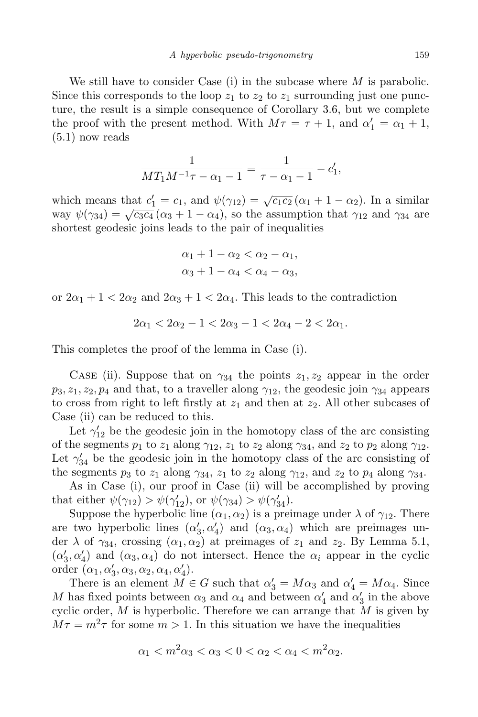We still have to consider Case  $(i)$  in the subcase where M is parabolic. Since this corresponds to the loop  $z_1$  to  $z_2$  to  $z_1$  surrounding just one puncture, the result is a simple consequence of Corollary 3.6, but we complete the proof with the present method. With  $M\tau = \tau + 1$ , and  $\alpha'_1 = \alpha_1 + 1$ , (5.1) now reads

$$
\frac{1}{MT_1M^{-1}\tau - \alpha_1 - 1} = \frac{1}{\tau - \alpha_1 - 1} - c'_1,
$$

which means that  $c'_1 = c_1$ , and  $\psi(\gamma_{12}) = \sqrt{c_1 c_2} (\alpha_1 + 1 - \alpha_2)$ . In a similar way  $\psi(\gamma_{34}) = \sqrt{c_3c_4} (\alpha_3 + 1 - \alpha_4)$ , so the assumption that  $\gamma_{12}$  and  $\gamma_{34}$  are shortest geodesic joins leads to the pair of inequalities

$$
\alpha_1 + 1 - \alpha_2 < \alpha_2 - \alpha_1,
$$
\n
$$
\alpha_3 + 1 - \alpha_4 < \alpha_4 - \alpha_3,
$$

or  $2\alpha_1 + 1 < 2\alpha_2$  and  $2\alpha_3 + 1 < 2\alpha_4$ . This leads to the contradiction

$$
2\alpha_1 < 2\alpha_2 - 1 < 2\alpha_3 - 1 < 2\alpha_4 - 2 < 2\alpha_1.
$$

This completes the proof of the lemma in Case (i).

CASE (ii). Suppose that on  $\gamma_{34}$  the points  $z_1, z_2$  appear in the order  $p_3, z_1, z_2, p_4$  and that, to a traveller along  $\gamma_{12}$ , the geodesic join  $\gamma_{34}$  appears to cross from right to left firstly at  $z_1$  and then at  $z_2$ . All other subcases of Case (ii) can be reduced to this.

Let  $\gamma'_{12}$  be the geodesic join in the homotopy class of the arc consisting of the segments  $p_1$  to  $z_1$  along  $\gamma_{12}$ ,  $z_1$  to  $z_2$  along  $\gamma_{34}$ , and  $z_2$  to  $p_2$  along  $\gamma_{12}$ . Let  $\gamma'_{34}$  be the geodesic join in the homotopy class of the arc consisting of the segments  $p_3$  to  $z_1$  along  $\gamma_{34}$ ,  $z_1$  to  $z_2$  along  $\gamma_{12}$ , and  $z_2$  to  $p_4$  along  $\gamma_{34}$ .

As in Case (i), our proof in Case (ii) will be accomplished by proving that either  $\psi(\gamma_{12}) > \psi(\gamma'_{12})$ , or  $\psi(\gamma_{34}) > \psi(\gamma'_{34})$ .

Suppose the hyperbolic line  $(\alpha_1, \alpha_2)$  is a preimage under  $\lambda$  of  $\gamma_{12}$ . There are two hyperbolic lines  $(\alpha'_3, \alpha'_4)$  and  $(\alpha_3, \alpha_4)$  which are preimages under  $\lambda$  of  $\gamma_{34}$ , crossing  $(\alpha_1, \alpha_2)$  at preimages of  $z_1$  and  $z_2$ . By Lemma 5.1,  $(\alpha'_3, \alpha'_4)$  and  $(\alpha_3, \alpha_4)$  do not intersect. Hence the  $\alpha_i$  appear in the cyclic order  $(\alpha_1, \alpha'_3, \alpha_3, \alpha_2, \alpha_4, \alpha'_4)$ .

There is an element  $M \in G$  such that  $\alpha'_3 = M\alpha_3$  and  $\alpha'_4 = M\alpha_4$ . Since M has fixed points between  $\alpha_3$  and  $\alpha_4$  and between  $\alpha'_4$  and  $\alpha'_3$  in the above cyclic order,  $M$  is hyperbolic. Therefore we can arrange that  $M$  is given by  $M\tau = m^2\tau$  for some  $m > 1$ . In this situation we have the inequalities

$$
\alpha_1 < m^2 \alpha_3 < \alpha_3 < 0 < \alpha_2 < \alpha_4 < m^2 \alpha_2.
$$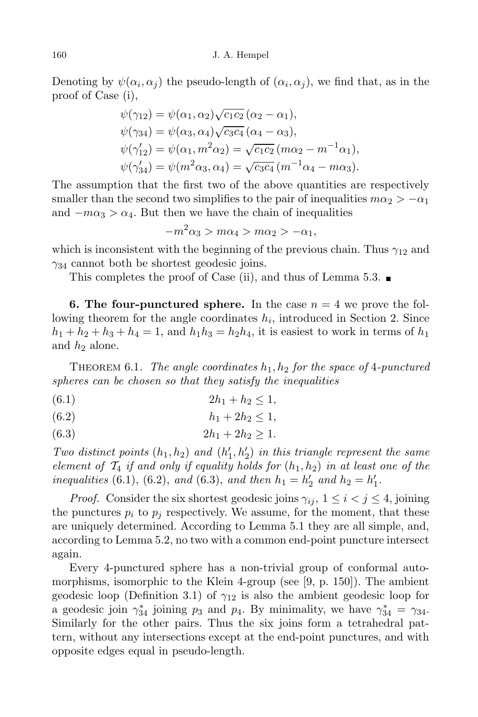## 160 J. A. Hempel

Denoting by  $\psi(\alpha_i, \alpha_j)$  the pseudo-length of  $(\alpha_i, \alpha_j)$ , we find that, as in the proof of Case (i),

$$
\psi(\gamma_{12}) = \psi(\alpha_1, \alpha_2) \sqrt{c_1 c_2} (\alpha_2 - \alpha_1), \n\psi(\gamma_{34}) = \psi(\alpha_3, \alpha_4) \sqrt{c_3 c_4} (\alpha_4 - \alpha_3), \n\psi(\gamma'_{12}) = \psi(\alpha_1, m^2 \alpha_2) = \sqrt{c_1 c_2} (m \alpha_2 - m^{-1} \alpha_1), \n\psi(\gamma'_{34}) = \psi(m^2 \alpha_3, \alpha_4) = \sqrt{c_3 c_4} (m^{-1} \alpha_4 - m \alpha_3).
$$

The assumption that the first two of the above quantities are respectively smaller than the second two simplifies to the pair of inequalities  $m\alpha_2 > -\alpha_1$ and  $-m\alpha_3 > \alpha_4$ . But then we have the chain of inequalities

$$
-m^2\alpha_3 > m\alpha_4 > m\alpha_2 > -\alpha_1,
$$

which is inconsistent with the beginning of the previous chain. Thus  $\gamma_{12}$  and  $\gamma_{34}$  cannot both be shortest geodesic joins.

This completes the proof of Case (ii), and thus of Lemma 5.3.  $\blacksquare$ 

**6. The four-punctured sphere.** In the case  $n = 4$  we prove the following theorem for the angle coordinates  $h_i$ , introduced in Section 2. Since  $h_1 + h_2 + h_3 + h_4 = 1$ , and  $h_1 h_3 = h_2 h_4$ , it is easiest to work in terms of  $h_1$ and  $h_2$  alone.

THEOREM 6.1. The angle coordinates  $h_1, h_2$  for the space of 4-punctured spheres can be chosen so that they satisfy the inequalities

$$
(6.1) \t\t 2h_1 + h_2 \le 1,
$$

(6.2) h<sup>1</sup> + 2h<sup>2</sup> ≤ 1,

$$
(6.3) \t\t 2h_1 + 2h_2 \ge 1.
$$

Two distinct points  $(h_1, h_2)$  and  $(h'_1, h'_2)$  in this triangle represent the same element of  $\mathcal{T}_4$  if and only if equality holds for  $(h_1, h_2)$  in at least one of the inequalities (6.1), (6.2), and (6.3), and then  $h_1 = h'_2$  and  $h_2 = h'_1$ .

*Proof.* Consider the six shortest geodesic joins  $\gamma_{ij}$ ,  $1 \leq i \leq j \leq 4$ , joining the punctures  $p_i$  to  $p_j$  respectively. We assume, for the moment, that these are uniquely determined. According to Lemma 5.1 they are all simple, and, according to Lemma 5.2, no two with a common end-point puncture intersect again.

Every 4-punctured sphere has a non-trivial group of conformal automorphisms, isomorphic to the Klein 4-group (see [9, p. 150]). The ambient geodesic loop (Definition 3.1) of  $\gamma_{12}$  is also the ambient geodesic loop for a geodesic join  $\gamma_{34}^*$  joining  $p_3$  and  $p_4$ . By minimality, we have  $\gamma_{34}^* = \gamma_{34}$ . Similarly for the other pairs. Thus the six joins form a tetrahedral pattern, without any intersections except at the end-point punctures, and with opposite edges equal in pseudo-length.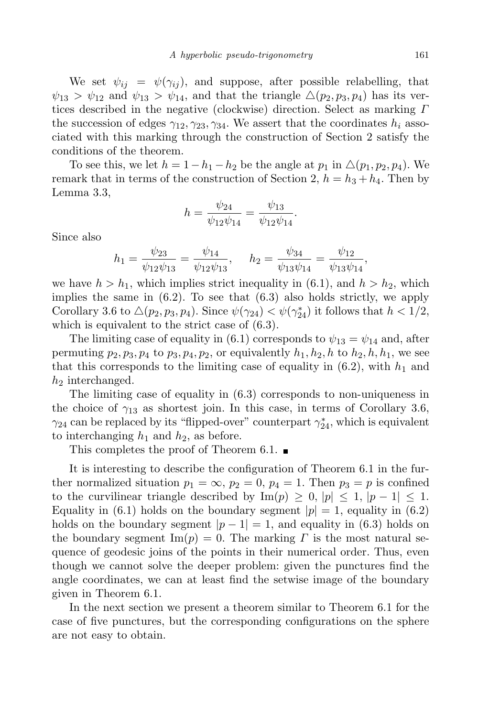We set  $\psi_{ij} = \psi(\gamma_{ij})$ , and suppose, after possible relabelling, that  $\psi_{13} > \psi_{12}$  and  $\psi_{13} > \psi_{14}$ , and that the triangle  $\Delta(p_2, p_3, p_4)$  has its vertices described in the negative (clockwise) direction. Select as marking Γ the succession of edges  $\gamma_{12}, \gamma_{23}, \gamma_{34}$ . We assert that the coordinates  $h_i$  associated with this marking through the construction of Section 2 satisfy the conditions of the theorem.

To see this, we let  $h = 1 - h_1 - h_2$  be the angle at  $p_1$  in  $\triangle(p_1, p_2, p_4)$ . We remark that in terms of the construction of Section 2,  $h = h_3 + h_4$ . Then by Lemma 3.3,

$$
h = \frac{\psi_{24}}{\psi_{12}\psi_{14}} = \frac{\psi_{13}}{\psi_{12}\psi_{14}}.
$$

Since also

$$
h_1 = \frac{\psi_{23}}{\psi_{12}\psi_{13}} = \frac{\psi_{14}}{\psi_{12}\psi_{13}}, \quad h_2 = \frac{\psi_{34}}{\psi_{13}\psi_{14}} = \frac{\psi_{12}}{\psi_{13}\psi_{14}},
$$

we have  $h > h_1$ , which implies strict inequality in (6.1), and  $h > h_2$ , which implies the same in (6.2). To see that (6.3) also holds strictly, we apply Corollary 3.6 to  $\triangle(p_2, p_3, p_4)$ . Since  $\psi(\gamma_{24}) < \psi(\gamma_{24}^*)$  it follows that  $h < 1/2$ , which is equivalent to the strict case of (6.3).

The limiting case of equality in (6.1) corresponds to  $\psi_{13} = \psi_{14}$  and, after permuting  $p_2, p_3, p_4$  to  $p_3, p_4, p_2$ , or equivalently  $h_1, h_2, h$  to  $h_2, h, h_1$ , we see that this corresponds to the limiting case of equality in  $(6.2)$ , with  $h_1$  and  $h_2$  interchanged.

The limiting case of equality in (6.3) corresponds to non-uniqueness in the choice of  $\gamma_{13}$  as shortest join. In this case, in terms of Corollary 3.6,  $\gamma_{24}$  can be replaced by its "flipped-over" counterpart  $\gamma_{24}^*$ , which is equivalent to interchanging  $h_1$  and  $h_2$ , as before.

This completes the proof of Theorem 6.1.  $\blacksquare$ 

It is interesting to describe the configuration of Theorem 6.1 in the further normalized situation  $p_1 = \infty$ ,  $p_2 = 0$ ,  $p_4 = 1$ . Then  $p_3 = p$  is confined to the curvilinear triangle described by  $\text{Im}(p) \geq 0, |p| \leq 1, |p-1| \leq 1$ . Equality in (6.1) holds on the boundary segment  $|p|=1$ , equality in (6.2) holds on the boundary segment  $|p-1|=1$ , and equality in (6.3) holds on the boundary segment  $\text{Im}(p) = 0$ . The marking T is the most natural sequence of geodesic joins of the points in their numerical order. Thus, even though we cannot solve the deeper problem: given the punctures find the angle coordinates, we can at least find the setwise image of the boundary given in Theorem 6.1.

In the next section we present a theorem similar to Theorem 6.1 for the case of five punctures, but the corresponding configurations on the sphere are not easy to obtain.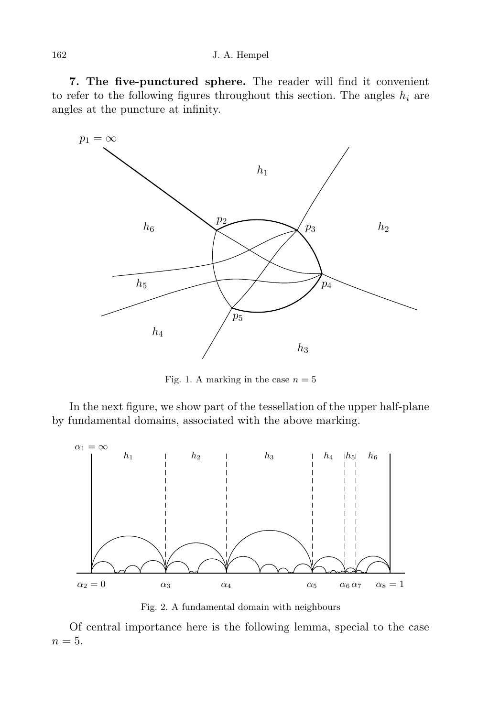7. The five-punctured sphere. The reader will find it convenient to refer to the following figures throughout this section. The angles  $h_i$  are angles at the puncture at infinity.



Fig. 1. A marking in the case  $n = 5$ 

In the next figure, we show part of the tessellation of the upper half-plane by fundamental domains, associated with the above marking.



Fig. 2. A fundamental domain with neighbours

Of central importance here is the following lemma, special to the case  $n=5$ .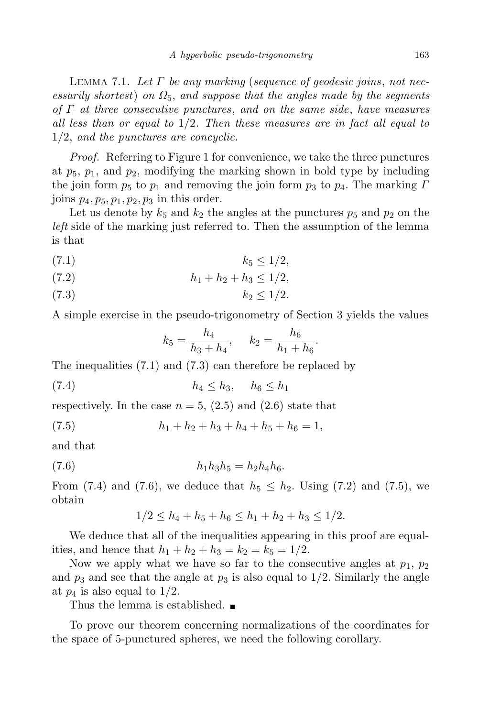LEMMA 7.1. Let  $\Gamma$  be any marking (sequence of geodesic joins, not necessarily shortest) on  $\Omega_5$ , and suppose that the angles made by the segments of  $\Gamma$  at three consecutive punctures, and on the same side, have measures all less than or equal to  $1/2$ . Then these measures are in fact all equal to 1/2, and the punctures are concyclic.

Proof. Referring to Figure 1 for convenience, we take the three punctures at  $p_5$ ,  $p_1$ , and  $p_2$ , modifying the marking shown in bold type by including the join form  $p_5$  to  $p_1$  and removing the join form  $p_3$  to  $p_4$ . The marking  $\Gamma$ joins  $p_4$ ,  $p_5$ ,  $p_1$ ,  $p_2$ ,  $p_3$  in this order.

Let us denote by  $k_5$  and  $k_2$  the angles at the punctures  $p_5$  and  $p_2$  on the left side of the marking just referred to. Then the assumption of the lemma is that

$$
(7.1) \t\t k_5 \le 1/2,
$$

(7.2) h<sup>1</sup> + h<sup>2</sup> + h<sup>3</sup> ≤ 1/2,

 $(k_2 < 1/2.$ 

A simple exercise in the pseudo-trigonometry of Section 3 yields the values

$$
k_5 = \frac{h_4}{h_3 + h_4}
$$
,  $k_2 = \frac{h_6}{h_1 + h_6}$ .

The inequalities (7.1) and (7.3) can therefore be replaced by

(7.4)  $h_4 \leq h_3, \quad h_6 \leq h_1$ 

respectively. In the case  $n = 5$ ,  $(2.5)$  and  $(2.6)$  state that

(7.5)  $h_1 + h_2 + h_3 + h_4 + h_5 + h_6 = 1$ ,

and that

(7.6) h1h3h<sup>5</sup> = h2h4h6.

From (7.4) and (7.6), we deduce that  $h_5 \leq h_2$ . Using (7.2) and (7.5), we obtain

$$
1/2 \le h_4 + h_5 + h_6 \le h_1 + h_2 + h_3 \le 1/2.
$$

We deduce that all of the inequalities appearing in this proof are equalities, and hence that  $h_1 + h_2 + h_3 = k_2 = k_5 = 1/2$ .

Now we apply what we have so far to the consecutive angles at  $p_1$ ,  $p_2$ and  $p_3$  and see that the angle at  $p_3$  is also equal to  $1/2$ . Similarly the angle at  $p_4$  is also equal to  $1/2$ .

Thus the lemma is established.

To prove our theorem concerning normalizations of the coordinates for the space of 5-punctured spheres, we need the following corollary.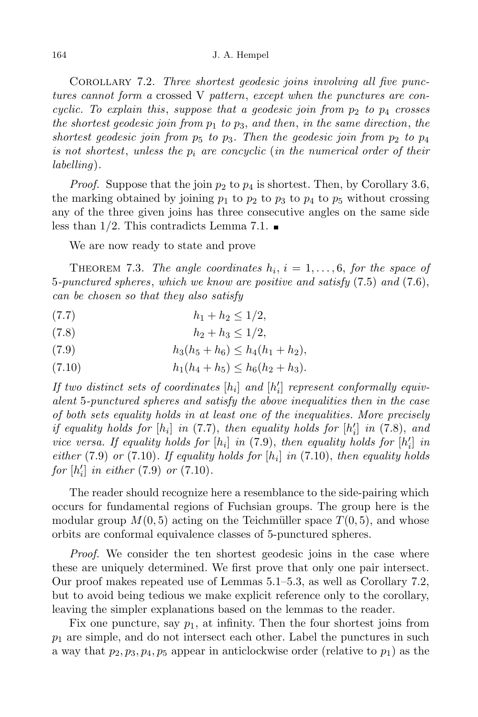COROLLARY 7.2. Three shortest geodesic joins involving all five punctures cannot form a crossed V pattern, except when the punctures are concyclic. To explain this, suppose that a geodesic join from  $p_2$  to  $p_4$  crosses the shortest geodesic join from  $p_1$  to  $p_3$ , and then, in the same direction, the shortest geodesic join from  $p_5$  to  $p_3$ . Then the geodesic join from  $p_2$  to  $p_4$ is not shortest, unless the  $p_i$  are concyclic (in the numerical order of their labelling).

*Proof.* Suppose that the join  $p_2$  to  $p_4$  is shortest. Then, by Corollary 3.6, the marking obtained by joining  $p_1$  to  $p_2$  to  $p_3$  to  $p_4$  to  $p_5$  without crossing any of the three given joins has three consecutive angles on the same side less than 1/2. This contradicts Lemma 7.1.  $\blacksquare$ 

We are now ready to state and prove

THEOREM 7.3. The angle coordinates  $h_i$ ,  $i = 1, \ldots, 6$ , for the space of 5-punctured spheres, which we know are positive and satisfy (7.5) and (7.6), can be chosen so that they also satisfy

- (7.7)  $h_1 + h_2 \leq 1/2$ ,
- (7.8)  $h_2 + h_3 \leq 1/2$ ,
- (7.9)  $h_3(h_5 + h_6) \leq h_4(h_1 + h_2),$
- (7.10)  $h_1(h_4 + h_5) \leq h_6(h_2 + h_3).$

If two distinct sets of coordinates  $[h_i]$  and  $[h'_i]$  represent conformally equivalent 5-punctured spheres and satisfy the above inequalities then in the case of both sets equality holds in at least one of the inequalities. More precisely if equality holds for  $[h_i]$  in (7.7), then equality holds for  $[h'_i]$  in (7.8), and vice versa. If equality holds for  $[h_i]$  in (7.9), then equality holds for  $[h'_i]$  in either (7.9) or (7.10). If equality holds for  $[h_i]$  in (7.10), then equality holds  $for [h'_i]$  in either  $(7.9)$  or  $(7.10)$ .

The reader should recognize here a resemblance to the side-pairing which occurs for fundamental regions of Fuchsian groups. The group here is the modular group  $M(0, 5)$  acting on the Teichmüller space  $T(0, 5)$ , and whose orbits are conformal equivalence classes of 5-punctured spheres.

*Proof.* We consider the ten shortest geodesic joins in the case where these are uniquely determined. We first prove that only one pair intersect. Our proof makes repeated use of Lemmas 5.1–5.3, as well as Corollary 7.2, but to avoid being tedious we make explicit reference only to the corollary, leaving the simpler explanations based on the lemmas to the reader.

Fix one puncture, say  $p_1$ , at infinity. Then the four shortest joins from  $p_1$  are simple, and do not intersect each other. Label the punctures in such a way that  $p_2, p_3, p_4, p_5$  appear in anticlockwise order (relative to  $p_1$ ) as the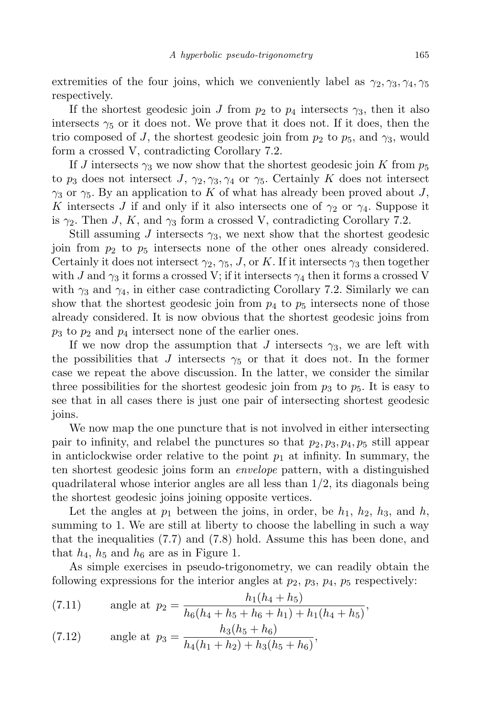extremities of the four joins, which we conveniently label as  $\gamma_2, \gamma_3, \gamma_4, \gamma_5$ respectively.

If the shortest geodesic join J from  $p_2$  to  $p_4$  intersects  $\gamma_3$ , then it also intersects  $\gamma_5$  or it does not. We prove that it does not. If it does, then the trio composed of J, the shortest geodesic join from  $p_2$  to  $p_5$ , and  $\gamma_3$ , would form a crossed V, contradicting Corollary 7.2.

If J intersects  $\gamma_3$  we now show that the shortest geodesic join K from  $p_5$ to  $p_3$  does not intersect J,  $\gamma_2, \gamma_3, \gamma_4$  or  $\gamma_5$ . Certainly K does not intersect  $\gamma_3$  or  $\gamma_5$ . By an application to K of what has already been proved about J, K intersects J if and only if it also intersects one of  $\gamma_2$  or  $\gamma_4$ . Suppose it is  $\gamma_2$ . Then J, K, and  $\gamma_3$  form a crossed V, contradicting Corollary 7.2.

Still assuming J intersects  $\gamma_3$ , we next show that the shortest geodesic join from  $p_2$  to  $p_5$  intersects none of the other ones already considered. Certainly it does not intersect  $\gamma_2$ ,  $\gamma_5$ , J, or K. If it intersects  $\gamma_3$  then together with J and  $\gamma_3$  it forms a crossed V; if it intersects  $\gamma_4$  then it forms a crossed V with  $\gamma_3$  and  $\gamma_4$ , in either case contradicting Corollary 7.2. Similarly we can show that the shortest geodesic join from  $p_4$  to  $p_5$  intersects none of those already considered. It is now obvious that the shortest geodesic joins from  $p_3$  to  $p_2$  and  $p_4$  intersect none of the earlier ones.

If we now drop the assumption that J intersects  $\gamma_3$ , we are left with the possibilities that J intersects  $\gamma_5$  or that it does not. In the former case we repeat the above discussion. In the latter, we consider the similar three possibilities for the shortest geodesic join from  $p_3$  to  $p_5$ . It is easy to see that in all cases there is just one pair of intersecting shortest geodesic joins.

We now map the one puncture that is not involved in either intersecting pair to infinity, and relabel the punctures so that  $p_2, p_3, p_4, p_5$  still appear in anticlockwise order relative to the point  $p_1$  at infinity. In summary, the ten shortest geodesic joins form an envelope pattern, with a distinguished quadrilateral whose interior angles are all less than  $1/2$ , its diagonals being the shortest geodesic joins joining opposite vertices.

Let the angles at  $p_1$  between the joins, in order, be  $h_1$ ,  $h_2$ ,  $h_3$ , and  $h$ , summing to 1. We are still at liberty to choose the labelling in such a way that the inequalities (7.7) and (7.8) hold. Assume this has been done, and that  $h_4$ ,  $h_5$  and  $h_6$  are as in Figure 1.

As simple exercises in pseudo-trigonometry, we can readily obtain the following expressions for the interior angles at  $p_2$ ,  $p_3$ ,  $p_4$ ,  $p_5$  respectively:

(7.11) angle at 
$$
p_2 = \frac{h_1(h_4 + h_5)}{h_6(h_4 + h_5 + h_6 + h_1) + h_1(h_4 + h_5)}
$$
,

(7.12) angle at 
$$
p_3 = \frac{h_3(h_5 + h_6)}{h_4(h_1 + h_2) + h_3(h_5 + h_6)}
$$
,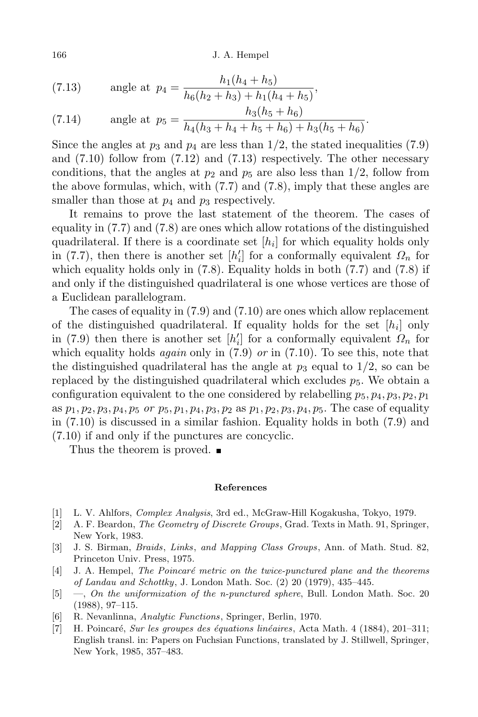166 J. A. Hempel

(7.13) angle at 
$$
p_4 = \frac{h_1(h_4 + h_5)}{h_6(h_2 + h_3) + h_1(h_4 + h_5)}
$$
,

(7.14) angle at 
$$
p_5 = \frac{h_3(h_5 + h_6)}{h_4(h_3 + h_4 + h_5 + h_6) + h_3(h_5 + h_6)}
$$
.

Since the angles at  $p_3$  and  $p_4$  are less than 1/2, the stated inequalities (7.9) and (7.10) follow from (7.12) and (7.13) respectively. The other necessary conditions, that the angles at  $p_2$  and  $p_5$  are also less than  $1/2$ , follow from the above formulas, which, with (7.7) and (7.8), imply that these angles are smaller than those at  $p_4$  and  $p_3$  respectively.

It remains to prove the last statement of the theorem. The cases of equality in (7.7) and (7.8) are ones which allow rotations of the distinguished quadrilateral. If there is a coordinate set  $[h_i]$  for which equality holds only in (7.7), then there is another set  $[h'_i]$  for a conformally equivalent  $\Omega_n$  for which equality holds only in (7.8). Equality holds in both (7.7) and (7.8) if and only if the distinguished quadrilateral is one whose vertices are those of a Euclidean parallelogram.

The cases of equality in (7.9) and (7.10) are ones which allow replacement of the distinguished quadrilateral. If equality holds for the set  $[h_i]$  only in (7.9) then there is another set  $[h'_i]$  for a conformally equivalent  $\Omega_n$  for which equality holds *again* only in  $(7.9)$  or in  $(7.10)$ . To see this, note that the distinguished quadrilateral has the angle at  $p_3$  equal to 1/2, so can be replaced by the distinguished quadrilateral which excludes  $p_5$ . We obtain a configuration equivalent to the one considered by relabelling  $p_5, p_4, p_3, p_2, p_1$ as  $p_1, p_2, p_3, p_4, p_5$  or  $p_5, p_1, p_4, p_3, p_2$  as  $p_1, p_2, p_3, p_4, p_5$ . The case of equality in (7.10) is discussed in a similar fashion. Equality holds in both (7.9) and (7.10) if and only if the punctures are concyclic.

Thus the theorem is proved. ■

## References

- [1] L. V. Ahlfors, Complex Analysis, 3rd ed., McGraw-Hill Kogakusha, Tokyo, 1979.
- [2] A. F. Beardon, The Geometry of Discrete Groups, Grad. Texts in Math. 91, Springer, New York, 1983.
- [3] J. S. Birman, Braids, Links, and Mapping Class Groups, Ann. of Math. Stud. 82, Princeton Univ. Press, 1975.
- $[4]$  J. A. Hempel, The Poincaré metric on the twice-punctured plane and the theorems of Landau and Schottky, J. London Math. Soc. (2) 20 (1979), 435–445.
- [5] —, On the uniformization of the n-punctured sphere, Bull. London Math. Soc. 20 (1988), 97–115.
- [6] R. Nevanlinna, Analytic Functions, Springer, Berlin, 1970.
- [7] H. Poincaré, Sur les groupes des équations linéaires, Acta Math. 4 (1884), 201–311; English transl. in: Papers on Fuchsian Functions, translated by J. Stillwell, Springer, New York, 1985, 357–483.